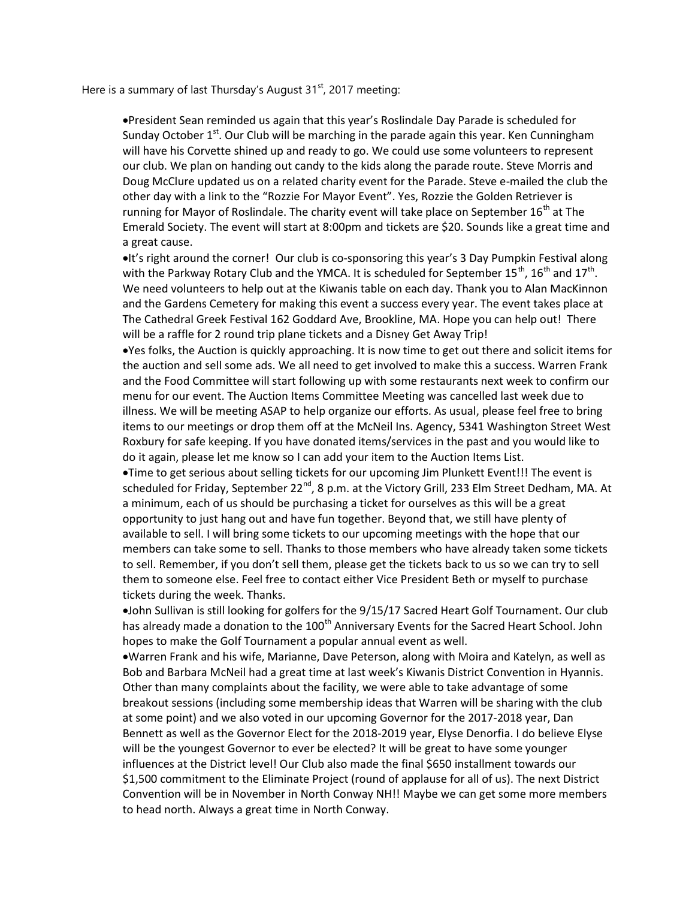Here is a summary of last Thursday's August  $31<sup>st</sup>$ , 2017 meeting:

President Sean reminded us again that this year's Roslindale Day Parade is scheduled for Sunday October  $1^{st}$ . Our Club will be marching in the parade again this year. Ken Cunningham will have his Corvette shined up and ready to go. We could use some volunteers to represent our club. We plan on handing out candy to the kids along the parade route. Steve Morris and Doug McClure updated us on a related charity event for the Parade. Steve e-mailed the club the other day with a link to the "Rozzie For Mayor Event". Yes, Rozzie the Golden Retriever is running for Mayor of Roslindale. The charity event will take place on September 16<sup>th</sup> at The Emerald Society. The event will start at 8:00pm and tickets are \$20. Sounds like a great time and a great cause.

It's right around the corner! Our club is co-sponsoring this year's 3 Day Pumpkin Festival along with the Parkway Rotary Club and the YMCA. It is scheduled for September 15<sup>th</sup>, 16<sup>th</sup> and 17<sup>th</sup>. We need volunteers to help out at the Kiwanis table on each day. Thank you to Alan MacKinnon and the Gardens Cemetery for making this event a success every year. The event takes place at The Cathedral Greek Festival 162 Goddard Ave, Brookline, MA. Hope you can help out! There will be a raffle for 2 round trip plane tickets and a Disney Get Away Trip!

Yes folks, the Auction is quickly approaching. It is now time to get out there and solicit items for the auction and sell some ads. We all need to get involved to make this a success. Warren Frank and the Food Committee will start following up with some restaurants next week to confirm our menu for our event. The Auction Items Committee Meeting was cancelled last week due to illness. We will be meeting ASAP to help organize our efforts. As usual, please feel free to bring items to our meetings or drop them off at the McNeil Ins. Agency, 5341 Washington Street West Roxbury for safe keeping. If you have donated items/services in the past and you would like to do it again, please let me know so I can add your item to the Auction Items List.

Time to get serious about selling tickets for our upcoming Jim Plunkett Event!!! The event is scheduled for Friday, September 22<sup>nd</sup>, 8 p.m. at the Victory Grill, 233 Elm Street Dedham, MA. At a minimum, each of us should be purchasing a ticket for ourselves as this will be a great opportunity to just hang out and have fun together. Beyond that, we still have plenty of available to sell. I will bring some tickets to our upcoming meetings with the hope that our members can take some to sell. Thanks to those members who have already taken some tickets to sell. Remember, if you don't sell them, please get the tickets back to us so we can try to sell them to someone else. Feel free to contact either Vice President Beth or myself to purchase tickets during the week. Thanks.

John Sullivan is still looking for golfers for the 9/15/17 Sacred Heart Golf Tournament. Our club has already made a donation to the 100<sup>th</sup> Anniversary Events for the Sacred Heart School. John hopes to make the Golf Tournament a popular annual event as well.

Warren Frank and his wife, Marianne, Dave Peterson, along with Moira and Katelyn, as well as Bob and Barbara McNeil had a great time at last week's Kiwanis District Convention in Hyannis. Other than many complaints about the facility, we were able to take advantage of some breakout sessions (including some membership ideas that Warren will be sharing with the club at some point) and we also voted in our upcoming Governor for the 2017-2018 year, Dan Bennett as well as the Governor Elect for the 2018-2019 year, Elyse Denorfia. I do believe Elyse will be the youngest Governor to ever be elected? It will be great to have some younger influences at the District level! Our Club also made the final \$650 installment towards our \$1,500 commitment to the Eliminate Project (round of applause for all of us). The next District Convention will be in November in North Conway NH!! Maybe we can get some more members to head north. Always a great time in North Conway.